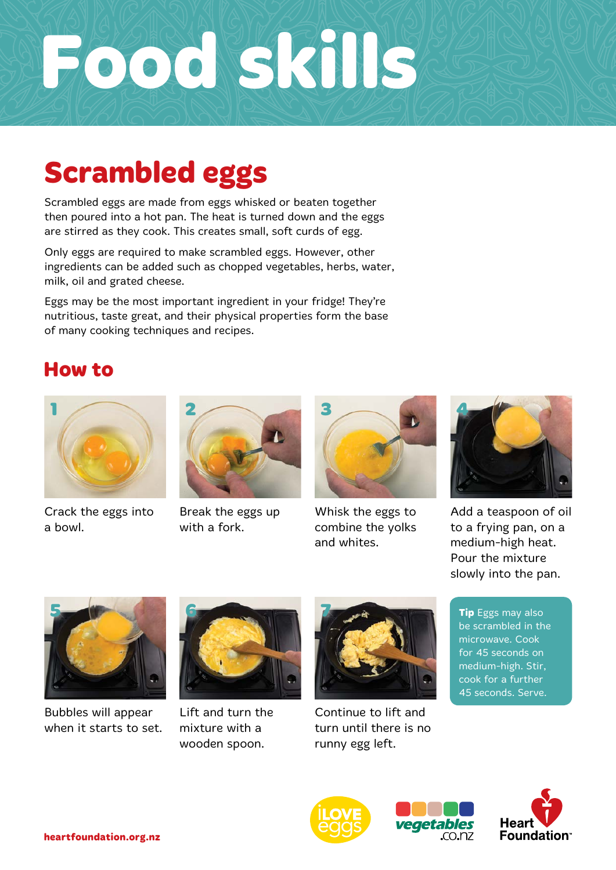# **Food skills**

### **Scrambled eggs**

Scrambled eggs are made from eggs whisked or beaten together then poured into a hot pan. The heat is turned down and the eggs are stirred as they cook. This creates small, soft curds of egg.

Only eggs are required to make scrambled eggs. However, other ingredients can be added such as chopped vegetables, herbs, water, milk, oil and grated cheese.

Eggs may be the most important ingredient in your fridge! They're nutritious, taste great, and their physical properties form the base of many cooking techniques and recipes.

#### **How to**



Crack the eggs into a bowl.



Break the eggs up with a fork.



Whisk the eggs to combine the yolks and whites.



Add a teaspoon of oil to a frying pan, on a medium-high heat. Pour the mixture slowly into the pan.



Bubbles will appear when it starts to set.



Lift and turn the mixture with a wooden spoon.



Continue to lift and turn until there is no runny egg left.

**Tip** Eggs may also be scrambled in the microwave. Cook for 45 seconds on medium-high. Stir, cook for a further 45 seconds. Serve.



etables